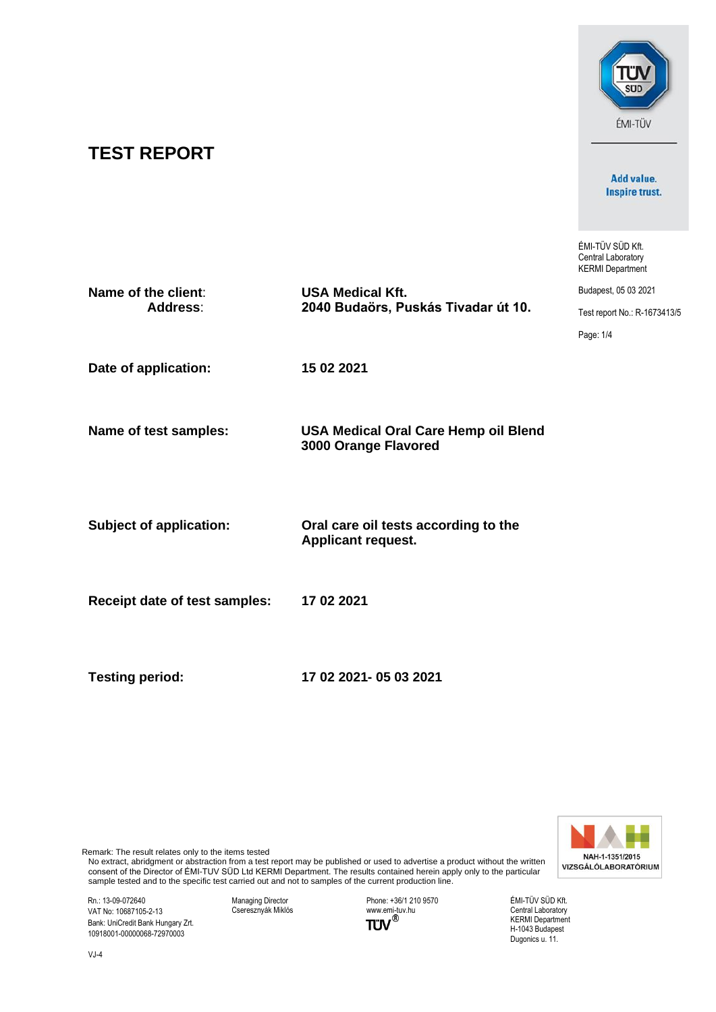# **TEST REPORT**

Add value. Inspire trust.

**SUD** 

ÉMI-TÜV

ÉMI-TÜV SÜD Kft. Central Laboratory KERMI Department

| Name of the client:<br><b>Address:</b> | <b>USA Medical Kft.</b>                                             | Budapest, 05 03 2021         |
|----------------------------------------|---------------------------------------------------------------------|------------------------------|
|                                        | 2040 Budaörs, Puskás Tivadar út 10.                                 | Test report No.: R-1673413/5 |
|                                        |                                                                     | Page: 1/4                    |
| Date of application:                   | 15 02 2021                                                          |                              |
| Name of test samples:                  | <b>USA Medical Oral Care Hemp oil Blend</b><br>3000 Orange Flavored |                              |
| <b>Subject of application:</b>         | Oral care oil tests according to the<br><b>Applicant request.</b>   |                              |
| <b>Receipt date of test samples:</b>   | 17 02 2021                                                          |                              |
|                                        |                                                                     |                              |

**Testing period: 17 02 2021- 05 03 2021**



Remark: The result relates only to the items tested

No extract, abridgment or abstraction from a test report may be published or used to advertise a product without the written consent of the Director of ÉMI-TUV SÜD Ltd KERMI Department. The results contained herein apply only to the particular sample tested and to the specific test carried out and not to samples of the current production line.

Rn.: 13-09-072640 VAT No: 10687105-2-13 Bank: UniCredit Bank Hungary Zrt. 10918001-00000068-72970003

Managing Director Cseresznyák Miklós

Phone: +36/1 210 9570 www.emi-tuv.hu

ÉMI-TÜV SÜD Kft. Central Laboratory KERMI Department H-1043 Budapest Dugonics u. 11.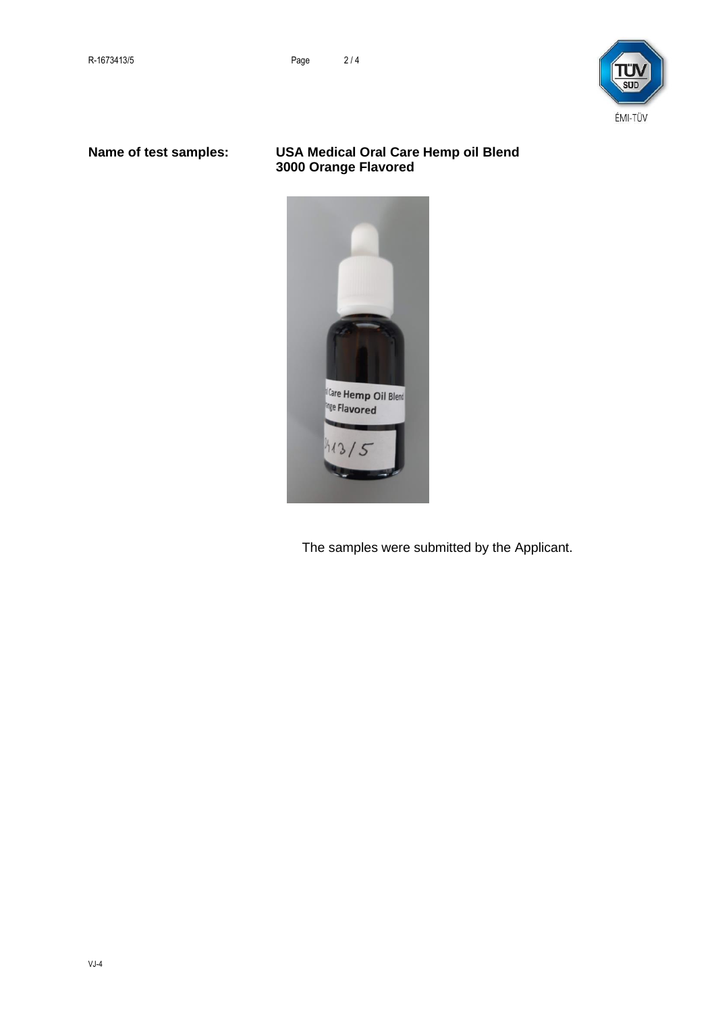

## **Name of test samples: USA Medical Oral Care Hemp oil Blend 3000 Orange Flavored**



The samples were submitted by the Applicant.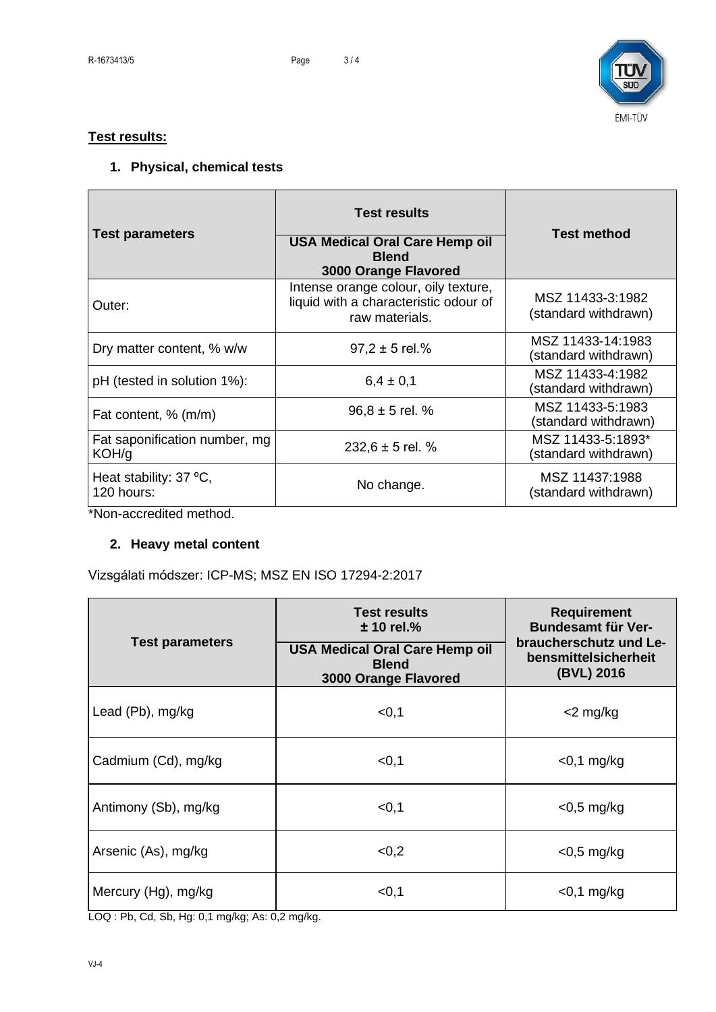

## **Test results:**

## **1. Physical, chemical tests**

| <b>Test parameters</b>                                                                                                                                                                     | <b>Test results</b><br><b>USA Medical Oral Care Hemp oil</b><br><b>Blend</b><br><b>3000 Orange Flavored</b> | <b>Test method</b>                        |
|--------------------------------------------------------------------------------------------------------------------------------------------------------------------------------------------|-------------------------------------------------------------------------------------------------------------|-------------------------------------------|
| Outer:                                                                                                                                                                                     | Intense orange colour, oily texture,<br>liquid with a characteristic odour of<br>raw materials.             | MSZ 11433-3:1982<br>(standard withdrawn)  |
| Dry matter content, % w/w                                                                                                                                                                  | $97.2 \pm 5$ rel.%                                                                                          | MSZ 11433-14:1983<br>(standard withdrawn) |
| pH (tested in solution 1%):                                                                                                                                                                | $6.4 \pm 0.1$                                                                                               | MSZ 11433-4:1982<br>(standard withdrawn)  |
| Fat content, % (m/m)                                                                                                                                                                       | $96.8 \pm 5$ rel. %                                                                                         | MSZ 11433-5:1983<br>(standard withdrawn)  |
| Fat saponification number, mg<br>KOH/g                                                                                                                                                     | 232,6 $\pm$ 5 rel. %                                                                                        | MSZ 11433-5:1893*<br>(standard withdrawn) |
| Heat stability: 37 °C,<br>120 hours:<br>$\rightarrow$ and $\rightarrow$<br>and the state of the state of the state of the state of the state of the state of the state of the state of the | No change.                                                                                                  | MSZ 11437:1988<br>(standard withdrawn)    |

\*Non-accredited method.

## **2. Heavy metal content**

Vizsgálati módszer: ICP-MS; MSZ EN ISO 17294-2:2017

| <b>Test parameters</b> | Test results<br>$± 10$ rel.%<br><b>USA Medical Oral Care Hemp oil</b><br><b>Blend</b><br><b>3000 Orange Flavored</b> | <b>Requirement</b><br><b>Bundesamt für Ver-</b><br>braucherschutz und Le-<br>bensmittelsicherheit<br>(BVL) 2016 |
|------------------------|----------------------------------------------------------------------------------------------------------------------|-----------------------------------------------------------------------------------------------------------------|
| Lead (Pb), mg/kg       | < 0, 1                                                                                                               | $<$ 2 mg/kg                                                                                                     |
| Cadmium (Cd), mg/kg    | < 0, 1                                                                                                               | $<$ 0,1 mg/kg                                                                                                   |
| Antimony (Sb), mg/kg   | < 0, 1                                                                                                               | $<$ 0,5 mg/kg                                                                                                   |
| Arsenic (As), mg/kg    | < 0.2                                                                                                                | $<$ 0,5 mg/kg                                                                                                   |
| Mercury (Hg), mg/kg    | < 0, 1                                                                                                               | $<$ 0,1 mg/kg                                                                                                   |

LOQ : Pb, Cd, Sb, Hg: 0,1 mg/kg; As: 0,2 mg/kg.